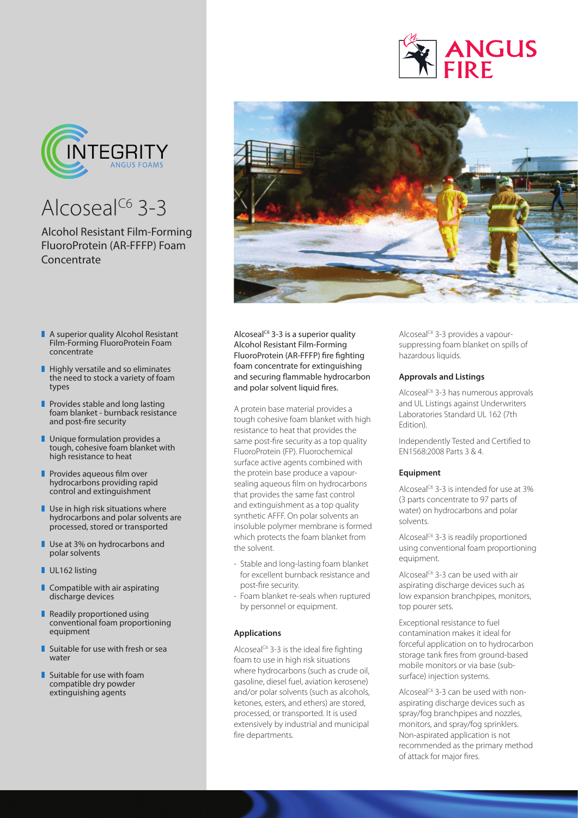

## Alcoseal<sup>C6</sup> 3-3

Alcohol Resistant Film-Forming FluoroProtein (AR-FFFP) Foam **Concentrate** 

- A superior quality Alcohol Resistant Film-Forming FluoroProtein Foam concentrate
- $\blacksquare$  Highly versatile and so eliminates the need to stock a variety of foam types
- $\blacksquare$  Provides stable and long lasting foam blanket - burnback resistance and post-fire security
- $\blacksquare$  Unique formulation provides a tough, cohesive foam blanket with high resistance to heat
- $\blacksquare$  Provides aqueous film over hydrocarbons providing rapid control and extinguishment
- $\blacksquare$  Use in high risk situations where hydrocarbons and polar solvents are processed, stored or transported
- **Use at 3% on hydrocarbons and** polar solvents
- **UL162 listing**
- $\blacksquare$  Compatible with air aspirating discharge devices
- Readily proportioned using conventional foam proportioning equipment
- $\blacksquare$  Suitable for use with fresh or sea water
- **I** Suitable for use with foam compatible dry powder extinguishing agents



Alcoseal<sup> $C6$ </sup> 3-3 is a superior quality Alcohol Resistant Film-Forming FluoroProtein (AR-FFFP) fire fighting foam concentrate for extinguishing and securing flammable hydrocarbon and polar solvent liquid fires.

A protein base material provides a tough cohesive foam blanket with high resistance to heat that provides the same post-fire security as a top quality FluoroProtein (FP). Fluorochemical surface active agents combined with the protein base produce a vapoursealing aqueous film on hydrocarbons that provides the same fast control and extinguishment as a top quality synthetic AFFF. On polar solvents an insoluble polymer membrane is formed which protects the foam blanket from the solvent.

- Stable and long-lasting foam blanket for excellent burnback resistance and post-fire security.
- Foam blanket re-seals when ruptured by personnel or equipment.

#### **Applications**

Alcoseal<sup> $C6$ </sup> 3-3 is the ideal fire fighting foam to use in high risk situations where hydrocarbons (such as crude oil, gasoline, diesel fuel, aviation kerosene) and/or polar solvents (such as alcohols, ketones, esters, and ethers) are stored, processed, or transported. It is used extensively by industrial and municipal fire departments.

Alcoseal<sup>c6</sup> 3-3 provides a vapoursuppressing foam blanket on spills of hazardous liquids.

**ANGUS** 

#### **Approvals and Listings**

Alcoseal<sup>C6</sup> 3-3 has numerous approvals and UL Listings against Underwriters Laboratories Standard UL 162 (7th Edition).

Independently Tested and Certified to EN1568:2008 Parts 3 & 4.

#### **Equipment**

Alcoseal<sup>C6</sup> 3-3 is intended for use at  $3\%$ (3 parts concentrate to 97 parts of water) on hydrocarbons and polar solvents.

Alcoseal $C<sup>6</sup>$  3-3 is readily proportioned using conventional foam proportioning equipment.

Alcoseal<sup>C6</sup> 3-3 can be used with air aspirating discharge devices such as low expansion branchpipes, monitors, top pourer sets.

Exceptional resistance to fuel contamination makes it ideal for forceful application on to hydrocarbon storage tank fires from ground-based mobile monitors or via base (subsurface) injection systems.

Alcoseal<sup>C6</sup> 3-3 can be used with nonaspirating discharge devices such as spray/fog branchpipes and nozzles, monitors, and spray/fog sprinklers. Non-aspirated application is not recommended as the primary method of attack for major fires.